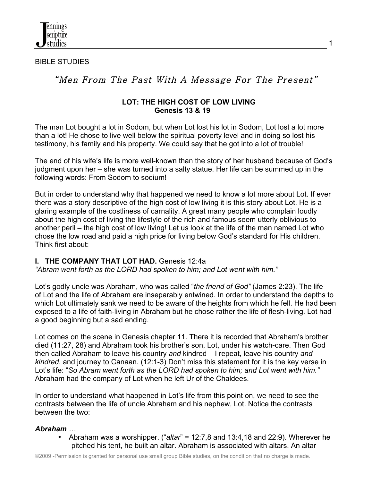

#### BIBLE STUDIES

# "Men From The Past With A Message For The Present"

### **LOT: THE HIGH COST OF LOW LIVING Genesis 13 & 19**

The man Lot bought a lot in Sodom, but when Lot lost his lot in Sodom, Lot lost a lot more than a lot! He chose to live well below the spiritual poverty level and in doing so lost his testimony, his family and his property. We could say that he got into a lot of trouble!

The end of his wife's life is more well-known than the story of her husband because of God's judgment upon her – she was turned into a salty statue. Her life can be summed up in the following words: From Sodom to sodium!

But in order to understand why that happened we need to know a lot more about Lot. If ever there was a story descriptive of the high cost of low living it is this story about Lot. He is a glaring example of the costliness of carnality. A great many people who complain loudly about the high cost of living the lifestyle of the rich and famous seem utterly oblivious to another peril – the high cost of low living! Let us look at the life of the man named Lot who chose the low road and paid a high price for living below God's standard for His children. Think first about:

### **I. THE COMPANY THAT LOT HAD.** Genesis 12:4a

*"Abram went forth as the LORD had spoken to him; and Lot went with him."*

Lot's godly uncle was Abraham, who was called "*the friend of God"* (James 2:23). The life of Lot and the life of Abraham are inseparably entwined. In order to understand the depths to which Lot ultimately sank we need to be aware of the heights from which he fell. He had been exposed to a life of faith-living in Abraham but he chose rather the life of flesh-living. Lot had a good beginning but a sad ending.

Lot comes on the scene in Genesis chapter 11. There it is recorded that Abraham's brother died (11:27, 28) and Abraham took his brother's son, Lot, under his watch-care. Then God then called Abraham to leave his country *and* kindred – I repeat, leave his country *and kindred*, and journey to Canaan. (12:1-3) Don't miss this statement for it is the key verse in Lot's life: "*So Abram went forth as the LORD had spoken to him; and Lot went with him."*  Abraham had the company of Lot when he left Ur of the Chaldees.

In order to understand what happened in Lot's life from this point on, we need to see the contrasts between the life of uncle Abraham and his nephew, Lot. Notice the contrasts between the two:

# *Abraham …*

• Abraham was a worshipper. ("*altar*" = 12:7,8 and 13:4,18 and 22:9). Wherever he pitched his tent, he built an altar. Abraham is associated with altars. An altar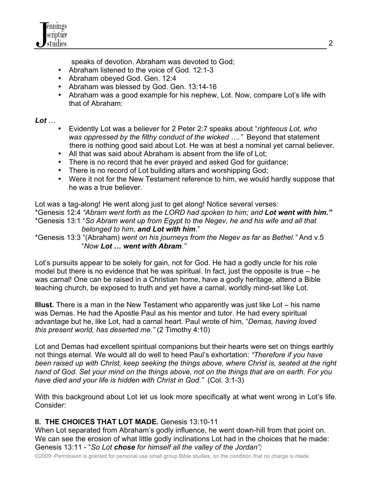

speaks of devotion. Abraham was devoted to God;

- Abraham listened to the voice of God. 12:1-3
- Abraham obeyed God. Gen. 12:4
- Abraham was blessed by God. Gen. 13:14-16
- Abraham was a good example for his nephew, Lot. Now, compare Lot's life with that of Abraham:

### *Lot …*

- Evidently Lot was a believer for 2 Peter 2:7 speaks about "*righteous Lot, who* was oppressed by the filthy conduct of the wicked ...." Beyond that statement there is nothing good said about Lot. He was at best a nominal yet carnal believer.
- All that was said about Abraham is absent from the life of Lot;
- There is no record that he ever prayed and asked God for guidance;
- There is no record of Lot building altars and worshipping God;
- Were it not for the New Testament reference to him, we would hardly suppose that he was a true believer.

Lot was a tag-along! He went along just to get along! Notice several verses:

\*Genesis 12:4 *"Abram went forth as the LORD had spoken to him; and Lot went with him."* \*Genesis 13:1 "*So Abram went up from Egypt to the Negev, he and his wife and all that belonged to him, and Lot with him*."

\*Genesis 13:3 "(Abraham) *went on his journeys from the Negev as far as Bethel."* And v.5 "*Now Lot … went with Abram."*

Lot's pursuits appear to be solely for gain, not for God. He had a godly uncle for his role model but there is no evidence that he was spiritual. In fact, just the opposite is true – he was carnal! One can be raised in a Christian home, have a godly heritage, attend a Bible teaching church, be exposed to truth and yet have a carnal, worldly mind-set like Lot.

**Illust.** There is a man in the New Testament who apparently was just like Lot – his name was Demas. He had the Apostle Paul as his mentor and tutor. He had every spiritual advantage but he, like Lot, had a carnal heart. Paul wrote of him, "*Demas, having loved this present world, has deserted me."* (2 Timothy 4:10)

Lot and Demas had excellent spiritual companions but their hearts were set on things earthly not things eternal. We would all do well to heed Paul's exhortation: *"Therefore if you have been raised up with Christ, keep seeking the things above, where Christ is, seated at the right hand of God. Set your mind on the things above, not on the things that are on earth. For you have died and your life is hidden with Christ in God."* (Col. 3:1-3)

With this background about Lot let us look more specifically at what went wrong in Lot's life. Consider:

# **II. THE CHOICES THAT LOT MADE.** Genesis 13:10-11

When Lot separated from Abraham's godly influence, he went down-hill from that point on. We can see the erosion of what little godly inclinations Lot had in the choices that he made: Genesis 13:11 - "*So Lot chose for himself all the valley of the Jordan";*

©2009 -Permission is granted for personal use small group Bible studies, on the condition that no charge is made.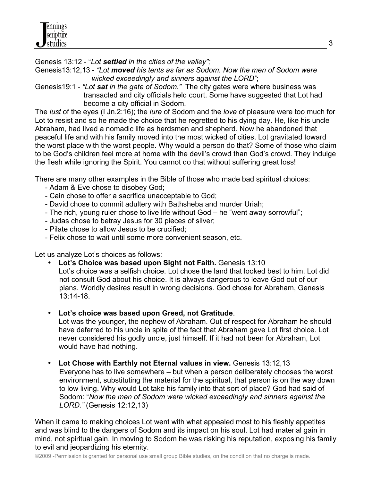Genesis 13:12 - "*Lot settled in the cities of the valley";*

Genesis13:12,13 - *"Lot moved his tents as far as Sodom. Now the men of Sodom were wicked exceedingly and sinners against the LORD"*;

Genesis19:1 - *"Lot sat in the gate of Sodom."* The city gates were where business was transacted and city officials held court. Some have suggested that Lot had become a city official in Sodom.

The *lust* of the eyes (I Jn.2:16); the *lure* of Sodom and the *love* of pleasure were too much for Lot to resist and so he made the choice that he regretted to his dying day. He, like his uncle Abraham, had lived a nomadic life as herdsmen and shepherd. Now he abandoned that peaceful life and with his family moved into the most wicked of cities. Lot gravitated toward the worst place with the worst people. Why would a person do that? Some of those who claim to be God's children feel more at home with the devil's crowd than God's crowd. They indulge the flesh while ignoring the Spirit. You cannot do that without suffering great loss!

There are many other examples in the Bible of those who made bad spiritual choices:

- Adam & Eve chose to disobey God;
- Cain chose to offer a sacrifice unacceptable to God;
- David chose to commit adultery with Bathsheba and murder Uriah;
- The rich, young ruler chose to live life without God he "went away sorrowful";
- Judas chose to betray Jesus for 30 pieces of silver;
- Pilate chose to allow Jesus to be crucified;
- Felix chose to wait until some more convenient season, etc.

Let us analyze Lot's choices as follows:

- **Lot's Choice was based upon Sight not Faith.** Genesis 13:10 Lot's choice was a selfish choice. Lot chose the land that looked best to him. Lot did not consult God about his choice. It is always dangerous to leave God out of our plans. Worldly desires result in wrong decisions. God chose for Abraham, Genesis 13:14-18.
- **Lot's choice was based upon Greed, not Gratitude**.

Lot was the younger, the nephew of Abraham. Out of respect for Abraham he should have deferred to his uncle in spite of the fact that Abraham gave Lot first choice. Lot never considered his godly uncle, just himself. If it had not been for Abraham, Lot would have had nothing.

• **Lot Chose with Earthly not Eternal values in view.** Genesis 13:12,13 Everyone has to live somewhere – but when a person deliberately chooses the worst environment, substituting the material for the spiritual, that person is on the way down to low living. Why would Lot take his family into that sort of place? God had said of Sodom: "*Now the men of Sodom were wicked exceedingly and sinners against the LORD."* (Genesis 12:12,13)

When it came to making choices Lot went with what appealed most to his fleshly appetites and was blind to the dangers of Sodom and its impact on his soul. Lot had material gain in mind, not spiritual gain. In moving to Sodom he was risking his reputation, exposing his family to evil and jeopardizing his eternity.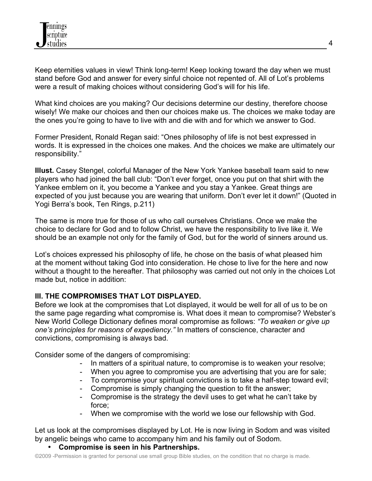Keep eternities values in view! Think long-term! Keep looking toward the day when we must stand before God and answer for every sinful choice not repented of. All of Lot's problems were a result of making choices without considering God's will for his life.

What kind choices are you making? Our decisions determine our destiny, therefore choose wisely! We make our choices and then our choices make us. The choices we make today are the ones you're going to have to live with and die with and for which we answer to God.

Former President, Ronald Regan said: "Ones philosophy of life is not best expressed in words. It is expressed in the choices one makes. And the choices we make are ultimately our responsibility."

**Illust.** Casey Stengel, colorful Manager of the New York Yankee baseball team said to new players who had joined the ball club: "Don't ever forget, once you put on that shirt with the Yankee emblem on it, you become a Yankee and you stay a Yankee. Great things are expected of you just because you are wearing that uniform. Don't ever let it down!" (Quoted in Yogi Berra's book, Ten Rings, p.211)

The same is more true for those of us who call ourselves Christians. Once we make the choice to declare for God and to follow Christ, we have the responsibility to live like it. We should be an example not only for the family of God, but for the world of sinners around us.

Lot's choices expressed his philosophy of life, he chose on the basis of what pleased him at the moment without taking God into consideration. He chose to live for the here and now without a thought to the hereafter. That philosophy was carried out not only in the choices Lot made but, notice in addition:

# **III. THE COMPROMISES THAT LOT DISPLAYED.**

Before we look at the compromises that Lot displayed, it would be well for all of us to be on the same page regarding what compromise is. What does it mean to compromise? Webster's New World College Dictionary defines moral compromise as follows: *"To weaken or give up one's principles for reasons of expediency."* In matters of conscience, character and convictions, compromising is always bad.

Consider some of the dangers of compromising:

- In matters of a spiritual nature, to compromise is to weaken your resolve;
- When you agree to compromise you are advertising that you are for sale;
- To compromise your spiritual convictions is to take a half-step toward evil;
- Compromise is simply changing the question to fit the answer;
- Compromise is the strategy the devil uses to get what he can't take by force;
- When we compromise with the world we lose our fellowship with God.

Let us look at the compromises displayed by Lot. He is now living in Sodom and was visited by angelic beings who came to accompany him and his family out of Sodom.

• **Compromise is seen in his Partnerships.** 

©2009 -Permission is granted for personal use small group Bible studies, on the condition that no charge is made.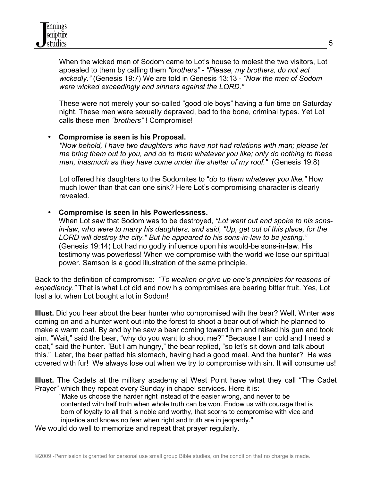

When the wicked men of Sodom came to Lot's house to molest the two visitors, Lot appealed to them by calling them *"brothers" - "Please, my brothers, do not act wickedly."* (Genesis 19:7) We are told in Genesis 13:13 - *"Now the men of Sodom were wicked exceedingly and sinners against the LORD."* 

These were not merely your so-called "good ole boys" having a fun time on Saturday night. These men were sexually depraved, bad to the bone, criminal types. Yet Lot calls these men *"brothers"* ! Compromise!

#### • **Compromise is seen is his Proposal.**

*"Now behold, I have two daughters who have not had relations with man; please let me bring them out to you, and do to them whatever you like; only do nothing to these men, inasmuch as they have come under the shelter of my roof."* (Genesis 19:8)

 Lot offered his daughters to the Sodomites to "*do to them whatever you like."* How much lower than that can one sink? Here Lot's compromising character is clearly revealed.

#### • **Compromise is seen in his Powerlessness.**

When Lot saw that Sodom was to be destroyed, *"Lot went out and spoke to his sonsin-law, who were to marry his daughters, and said, "Up, get out of this place, for the LORD will destroy the city." But he appeared to his sons-in-law to be jesting."*  (Genesis 19:14) Lot had no godly influence upon his would-be sons-in-law. His testimony was powerless! When we compromise with the world we lose our spiritual power. Samson is a good illustration of the same principle.

Back to the definition of compromise: *"To weaken or give up one's principles for reasons of expediency."* That is what Lot did and now his compromises are bearing bitter fruit. Yes, Lot lost a lot when Lot bought a lot in Sodom!

**Illust.** Did you hear about the bear hunter who compromised with the bear? Well, Winter was coming on and a hunter went out into the forest to shoot a bear out of which he planned to make a warm coat. By and by he saw a bear coming toward him and raised his gun and took aim. "Wait," said the bear, "why do you want to shoot me?" "Because I am cold and I need a coat," said the hunter. "But I am hungry," the bear replied, "so let's sit down and talk about this." Later, the bear patted his stomach, having had a good meal. And the hunter? He was covered with fur! We always lose out when we try to compromise with sin. It will consume us!

**Illust.** The Cadets at the military academy at West Point have what they call "The Cadet Prayer" which they repeat every Sunday in chapel services. Here it is:

 "Make us choose the harder right instead of the easier wrong, and never to be contented with half truth when whole truth can be won. Endow us with courage that is born of loyalty to all that is noble and worthy, that scorns to compromise with vice and injustice and knows no fear when right and truth are in jeopardy."

We would do well to memorize and repeat that prayer regularly.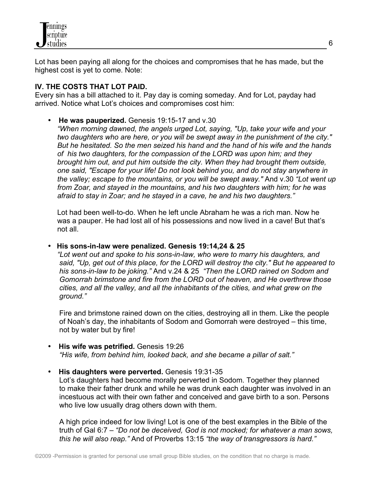Lot has been paying all along for the choices and compromises that he has made, but the highest cost is yet to come. Note:

# **IV. THE COSTS THAT LOT PAID.**

Every sin has a bill attached to it. Pay day is coming someday. And for Lot, payday had arrived. Notice what Lot's choices and compromises cost him:

• **He was pauperized.** Genesis 19:15-17 and v.30

 *"When morning dawned, the angels urged Lot, saying, "Up, take your wife and your two daughters who are here, or you will be swept away in the punishment of the city." But he hesitated. So the men seized his hand and the hand of his wife and the hands of his two daughters, for the compassion of the LORD was upon him; and they brought him out, and put him outside the city. When they had brought them outside, one said, "Escape for your life! Do not look behind you, and do not stay anywhere in the valley; escape to the mountains, or you will be swept away."* And v.30 *"Lot went up from Zoar, and stayed in the mountains, and his two daughters with him; for he was afraid to stay in Zoar; and he stayed in a cave, he and his two daughters."*

 Lot had been well-to-do. When he left uncle Abraham he was a rich man. Now he was a pauper. He had lost all of his possessions and now lived in a cave! But that's not all.

### • **His sons-in-law were penalized. Genesis 19:14,24 & 25**

*"Lot went out and spoke to his sons-in-law, who were to marry his daughters, and said, "Up, get out of this place, for the LORD will destroy the city." But he appeared to his sons-in-law to be joking."* And v.24 & 25 *"Then the LORD rained on Sodom and Gomorrah brimstone and fire from the LORD out of heaven, and He overthrew those cities, and all the valley, and all the inhabitants of the cities, and what grew on the ground."*

 Fire and brimstone rained down on the cities, destroying all in them. Like the people of Noah's day, the inhabitants of Sodom and Gomorrah were destroyed – this time, not by water but by fire!

• **His wife was petrified.** Genesis 19:26 *"His wife, from behind him, looked back, and she became a pillar of salt."*

# • **His daughters were perverted.** Genesis 19:31-35

 Lot's daughters had become morally perverted in Sodom. Together they planned to make their father drunk and while he was drunk each daughter was involved in an incestuous act with their own father and conceived and gave birth to a son. Persons who live low usually drag others down with them.

 A high price indeed for low living! Lot is one of the best examples in the Bible of the truth of Gal 6:7 *– "Do not be deceived, God is not mocked; for whatever a man sows, this he will also reap."* And of Proverbs 13:15 *"the way of transgressors is hard."*